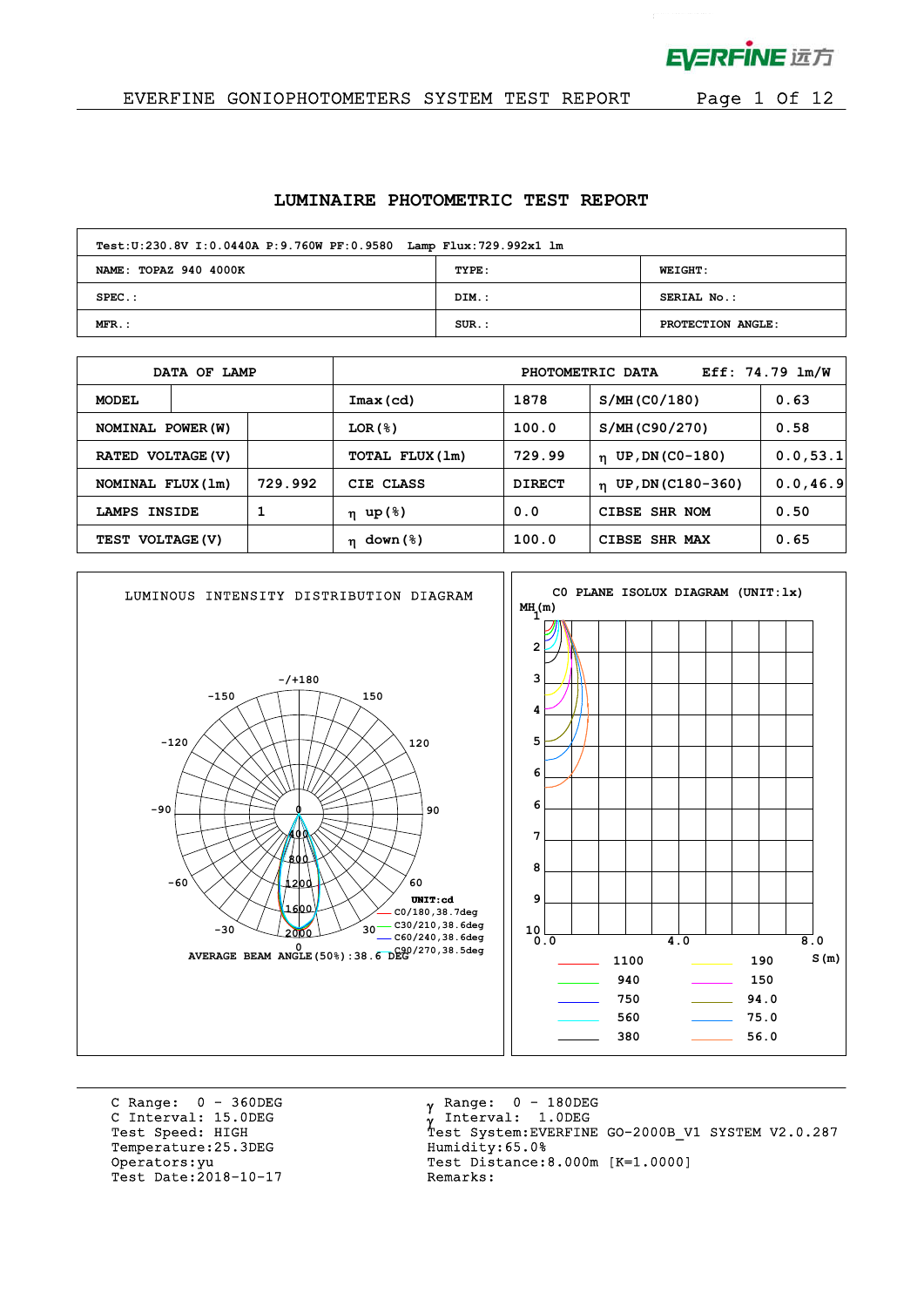

 $\mathcal{L}^{\text{max}}$ 

### EVERFINE GONIOPHOTOMETERS SYSTEM TEST REPORT Page 1 Of 12

#### **LUMINAIRE PHOTOMETRIC TEST REPORT**

| Test: U:230.8V I: 0.0440A P: 9.760W PF: 0.9580 Lamp Flux: 729.992x1 lm |          |                   |
|------------------------------------------------------------------------|----------|-------------------|
| NAME: TOPAZ 940 4000K                                                  | TYPE:    | <b>WEIGHT:</b>    |
| $SPEC.$ :                                                              | DIM.:    | SERIAL No.:       |
| $MFR.$ :                                                               | $SUR.$ : | PROTECTION ANGLE: |

|                   | DATA OF LAMP |         |                         |               | PHOTOMETRIC DATA      | Eff: $74.79$ $lm/W$ |
|-------------------|--------------|---------|-------------------------|---------------|-----------------------|---------------------|
| <b>MODEL</b>      |              |         | Imax(cd)                | 1878          | S/MH (CO/180)         | 0.63                |
| NOMINAL POWER (W) |              |         | $LOR({S})$              | 100.0         | S/MH (C90/270)        | 0.58                |
| RATED VOLTAGE (V) |              |         | TOTAL FLUX(1m)          | 729.99        | $n$ UP, DN (CO-180)   | 0.0, 53.1           |
| NOMINAL FLUX (1m) |              | 729.992 | CIE CLASS               | <b>DIRECT</b> | $n$ UP, DN (C180-360) | 0.0, 46.9           |
| LAMPS INSIDE      |              |         | η up(%)                 | 0.0           | CIBSE SHR NOM         | 0.50                |
| TEST VOLTAGE (V)  |              |         | down (%)<br>$\mathbf n$ | 100.0         | CIBSE SHR MAX         | 0.65                |



C Range: 0 - 360DEG C Interval: 15.0DEG<br>Test Speed: HIGH Temperature: 25.3DEG Humidity: 65.0% Test Date: 2018-10-17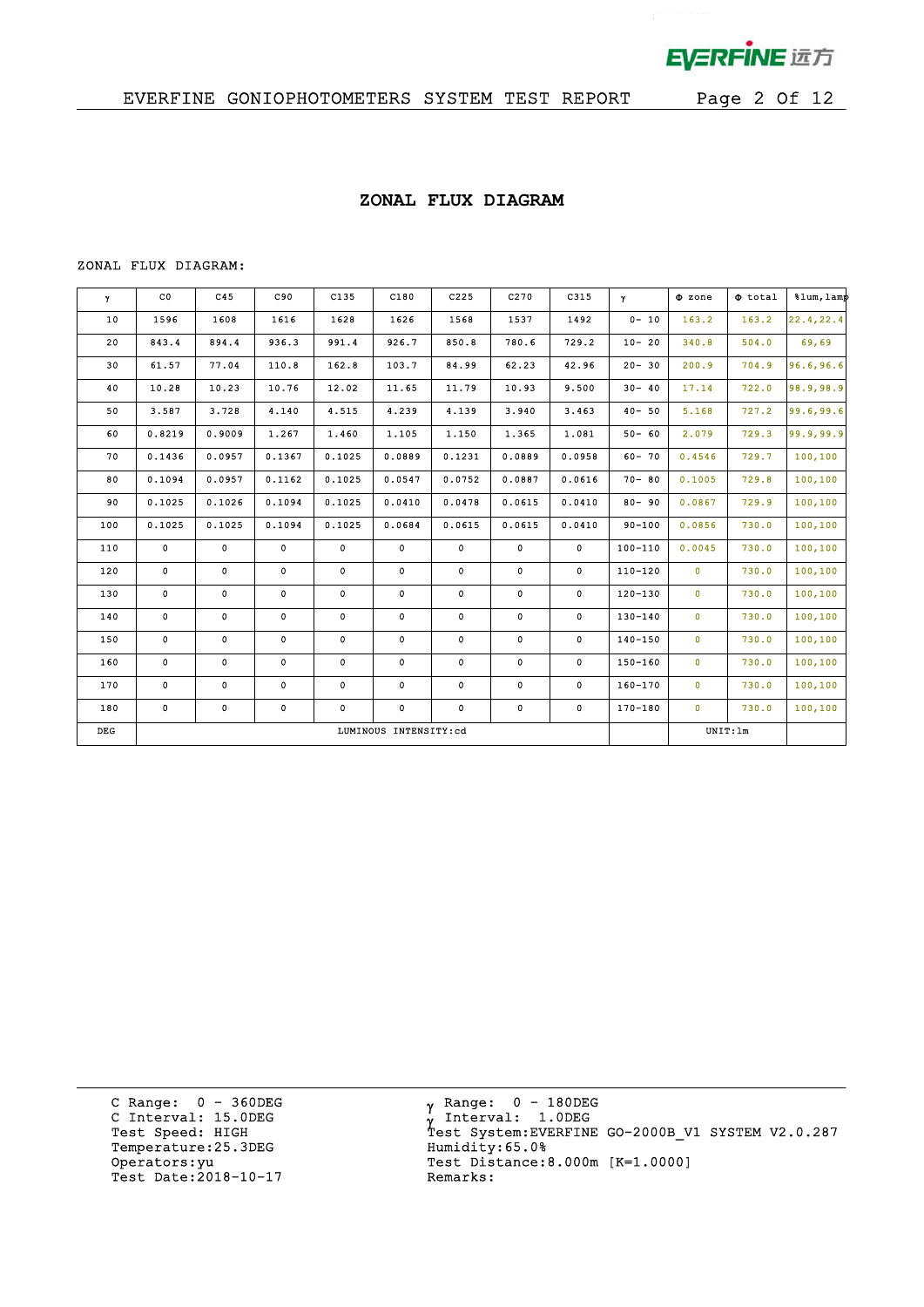

 $\mathbf{r}^{(1)}$ 

### **ZONAL FLUX DIAGRAM**

#### ZONAL FLUX DIAGRAM:

| Y     | $_{\rm CO}$  | C45         | C90    | C135        | C180                  | C225        | C270        | C315         | $\mathbf{Y}$ | $\Phi$ zone    | $\Phi$ total | $\text{sum, } \text{Lam}$ |
|-------|--------------|-------------|--------|-------------|-----------------------|-------------|-------------|--------------|--------------|----------------|--------------|---------------------------|
| 10    | 1596         | 1608        | 1616   | 1628        | 1626                  | 1568        | 1537        | 1492         | $0 - 10$     | 163.2          | 163.2        | 22.4, 22.4                |
| 20    | 843.4        | 894.4       | 936.3  | 991.4       | 926.7                 | 850.8       | 780.6       | 729.2        | $10 - 20$    | 340.8          | 504.0        | 69,69                     |
| 30    | 61.57        | 77.04       | 110.8  | 162.8       | 103.7                 | 84.99       | 62.23       | 42.96        | $20 - 30$    | 200.9          | 704.9        | 96.6,96.6                 |
| 40    | 10.28        | 10.23       | 10.76  | 12.02       | 11.65                 | 11.79       | 10.93       | 9.500        | $30 - 40$    | 17.14          | 722.0        | 98.9,98.9                 |
| 50    | 3.587        | 3.728       | 4.140  | 4.515       | 4.239                 | 4.139       | 3.940       | 3.463        | $40 - 50$    | 5.168          | 727.2        | 99.6,99.6                 |
| 60    | 0.8219       | 0.9009      | 1.267  | 1.460       | 1.105                 | 1.150       | 1.365       | 1.081        | $50 - 60$    | 2.079          | 729.3        | 99.9,99.9                 |
| 70    | 0.1436       | 0.0957      | 0.1367 | 0.1025      | 0.0889                | 0.1231      | 0.0889      | 0.0958       | $60 - 70$    | 0.4546         | 729.7        | 100,100                   |
| 80    | 0.1094       | 0.0957      | 0.1162 | 0.1025      | 0.0547                | 0.0752      | 0.0887      | 0.0616       | $70 - 80$    | 0.1005         | 729.8        | 100,100                   |
| 90    | 0.1025       | 0.1026      | 0.1094 | 0.1025      | 0.0410                | 0.0478      | 0.0615      | 0.0410       | $80 - 90$    | 0.0867         | 729.9        | 100,100                   |
| 100   | 0.1025       | 0.1025      | 0.1094 | 0.1025      | 0.0684                | 0.0615      | 0.0615      | 0.0410       | $90 - 100$   | 0.0856         | 730.0        | 100,100                   |
| 110   | $\mathbf{0}$ | 0           | 0      | $\mathbf 0$ | 0                     | $\mathbf 0$ | 0           | $\mathbf{0}$ | $100 - 110$  | 0.0045         | 730.0        | 100,100                   |
| 120   | 0            | $\mathbf 0$ | 0      | 0           | 0                     | 0           | $\mathbf 0$ | $\mathbf{0}$ | $110 - 120$  | $\overline{0}$ | 730.0        | 100,100                   |
| 130   | 0            | 0           | 0      | 0           | 0                     | 0           | 0           | 0            | $120 - 130$  | $\mathbf 0$    | 730.0        | 100, 100                  |
| 140   | 0            | 0           | 0      | 0           | 0                     | 0           | 0           | $\mathbf 0$  | 130-140      | $\mathbf 0$    | 730.0        | 100,100                   |
| 150   | $\mathbf 0$  | 0           | 0      | 0           | $\mathbf 0$           | 0           | 0           | $\mathbf{0}$ | $140 - 150$  | $\mathbf{0}$   | 730.0        | 100,100                   |
| 160   | 0            | 0           | 0      | 0           | 0                     | 0           | 0           | 0            | $150 - 160$  | $\mathbf 0$    | 730.0        | 100,100                   |
| 170   | $\mathbf 0$  | 0           | 0      | $\mathbf 0$ | $\mathbf 0$           | 0           | $\mathbf 0$ | $\mathbf 0$  | $160 - 170$  | $\mathbf{0}$   | 730.0        | 100,100                   |
| 180   | 0            | 0           | 0      | 0           | 0                     | 0           | 0           | $\mathbf 0$  | 170-180      | $\mathbf{0}$   | 730.0        | 100,100                   |
| $DEG$ |              |             |        |             | LUMINOUS INTENSITY:cd |             |             |              |              |                | UNIT: 1m     |                           |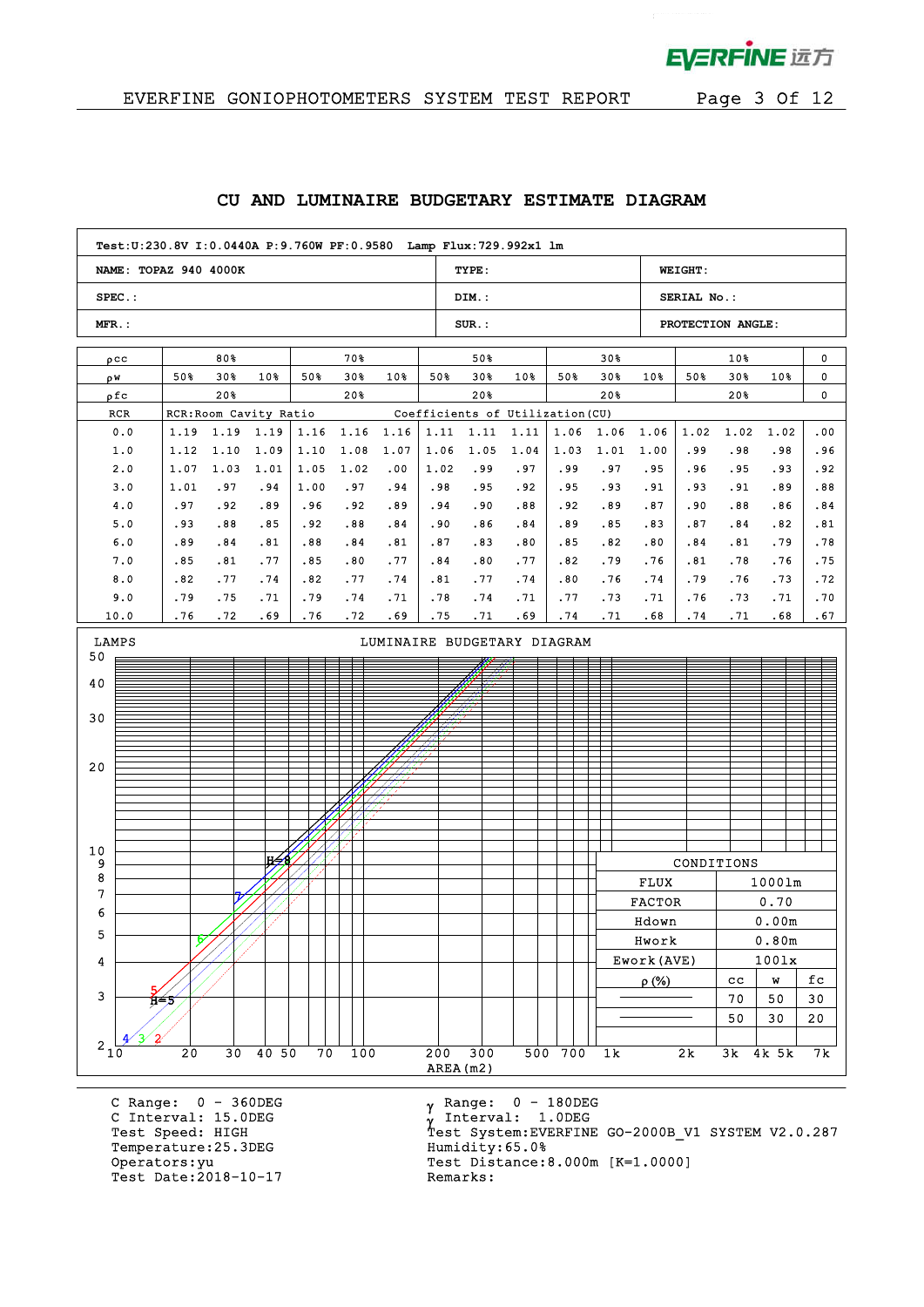

 $\mathbf{p}^{\mathrm{max}}$ 

| NAME: TOPAZ 940 4000K                                                           |            |            |                        |            |            |            |            | TYPE:      |                                  |            |            |                                                                             | <b>WEIGHT:</b>    |                   |                                                      |              |
|---------------------------------------------------------------------------------|------------|------------|------------------------|------------|------------|------------|------------|------------|----------------------------------|------------|------------|-----------------------------------------------------------------------------|-------------------|-------------------|------------------------------------------------------|--------------|
| $SPEC.$ :                                                                       |            |            |                        |            |            |            |            | DIM.:      |                                  |            |            |                                                                             | SERIAL No.:       |                   |                                                      |              |
| MFR.:                                                                           |            |            |                        |            |            |            |            | $SUR.$ :   |                                  |            |            |                                                                             | PROTECTION ANGLE: |                   |                                                      |              |
| $\rho$ CC                                                                       |            | 80%        |                        |            | 70%        |            |            | 50%        |                                  |            | 30%        |                                                                             |                   | 10%               |                                                      | 0            |
| ρW                                                                              | 50%        | $30*$      | 10%                    | 50%        | 30%        | 10%        | 50%        | 30%        | $10*$                            | 50%        | $30*$      | 10%                                                                         | 50%               | 30%               | 10%                                                  | 0            |
| ρfc                                                                             |            | 20%        |                        |            | 20%        |            |            | 20%        |                                  |            | 20%        |                                                                             |                   | 20%               |                                                      | 0            |
| RCR                                                                             |            |            | RCR: Room Cavity Ratio |            |            |            |            |            | Coefficients of Utilization (CU) |            |            |                                                                             |                   |                   |                                                      |              |
| 0.0                                                                             | 1.19       | 1.19       | 1.19                   | 1.16       | 1.16       | 1.16       | 1.11       | 1.11       | 1.11                             | 1.06       | 1.06       | 1.06                                                                        | 1.02              | 1.02              | 1.02                                                 | .00          |
| 1.0                                                                             | 1.12       | 1.10       | 1.09                   | 1.10       | 1.08       | 1.07       | 1.06       | 1.05       | 1.04                             | 1.03       | 1.01       | 1.00                                                                        | .99               | .98               | .98                                                  | .96          |
| 2.0                                                                             | 1.07       | 1.03       | 1.01                   | 1.05       | 1.02       | .00        | 1.02       | .99        | .97                              | .99        | .97        | .95                                                                         | .96               | .95               | .93                                                  | .92          |
| 3.0                                                                             | 1.01       | .97        | .94                    | 1.00       | .97        | .94        | .98        | .95        | .92                              | .95        | .93        | .91                                                                         | .93               | .91               | .89                                                  | .88          |
| 4.0                                                                             | .97        | .92        | .89                    | .96        | .92        | .89        | .94        | .90        | .88                              | .92        | .89        | .87                                                                         | .90               | .88               | .86                                                  | .84          |
| 5.0<br>6.0                                                                      | .93<br>.89 | .88<br>.84 | .85<br>.81             | .92<br>.88 | .88<br>.84 | .84<br>.81 | .90<br>.87 | .86<br>.83 | .84<br>.80                       | .89<br>.85 | .85<br>.82 | .83<br>.80                                                                  | .87<br>.84        | .84<br>.81        | .82<br>.79                                           | .81<br>.78   |
| 7.0                                                                             | .85        | .81        | .77                    | .85        | .80        | .77        | .84        | .80        | .77                              | .82        | .79        | .76                                                                         | .81               | .78               | .76                                                  | .75          |
| 8.0                                                                             | .82        | .77        | .74                    | .82        | .77        | .74        | .81        | .77        | .74                              | .80        | .76        | .74                                                                         | .79               | .76               | .73                                                  | .72          |
| 9.0                                                                             | .79        | .75        | .71                    | .79        | .74        | .71        | .78        | .74        | .71                              | .77        | .73        | .71                                                                         | .76               | .73               | .71                                                  | .70          |
| 10.0                                                                            | .76        | .72        | .69                    | .76        | .72        | .69        | .75        | .71        | .69                              | .74        | .71        | .68                                                                         | .74               | .71               | .68                                                  | .67          |
| 40<br>30<br>20<br>10<br>9<br>8<br>7<br>6<br>5<br>4<br>$\ensuremath{\mathsf{3}}$ | 1⊁⊿        |            | lH <del>∕</del> ó      |            |            |            |            |            |                                  |            |            | <b>FLUX</b><br><b>FACTOR</b><br>Hdown<br>Hwork<br>Ework (AVE)<br>$\rho$ (%) | CONDITIONS        | $_{\rm cc}$<br>70 | 10001m<br>0.70<br>0.00m<br>0.80m<br>1001x<br>W<br>50 | fc<br>$30\,$ |
| $2_{10}$                                                                        |            |            |                        |            |            |            |            |            |                                  |            |            |                                                                             |                   | 50                | 30                                                   | $20\,$       |

#### **CU AND LUMINAIRE BUDGETARY ESTIMATE DIAGRAM**

C Range: 0 - 360DEG C Interval: 15.0DEG<br>Test Speed: HIGH Temperature: 25.3DEG Humidity: 65.0% Operators: yu<br>Test Date: 2018-10-17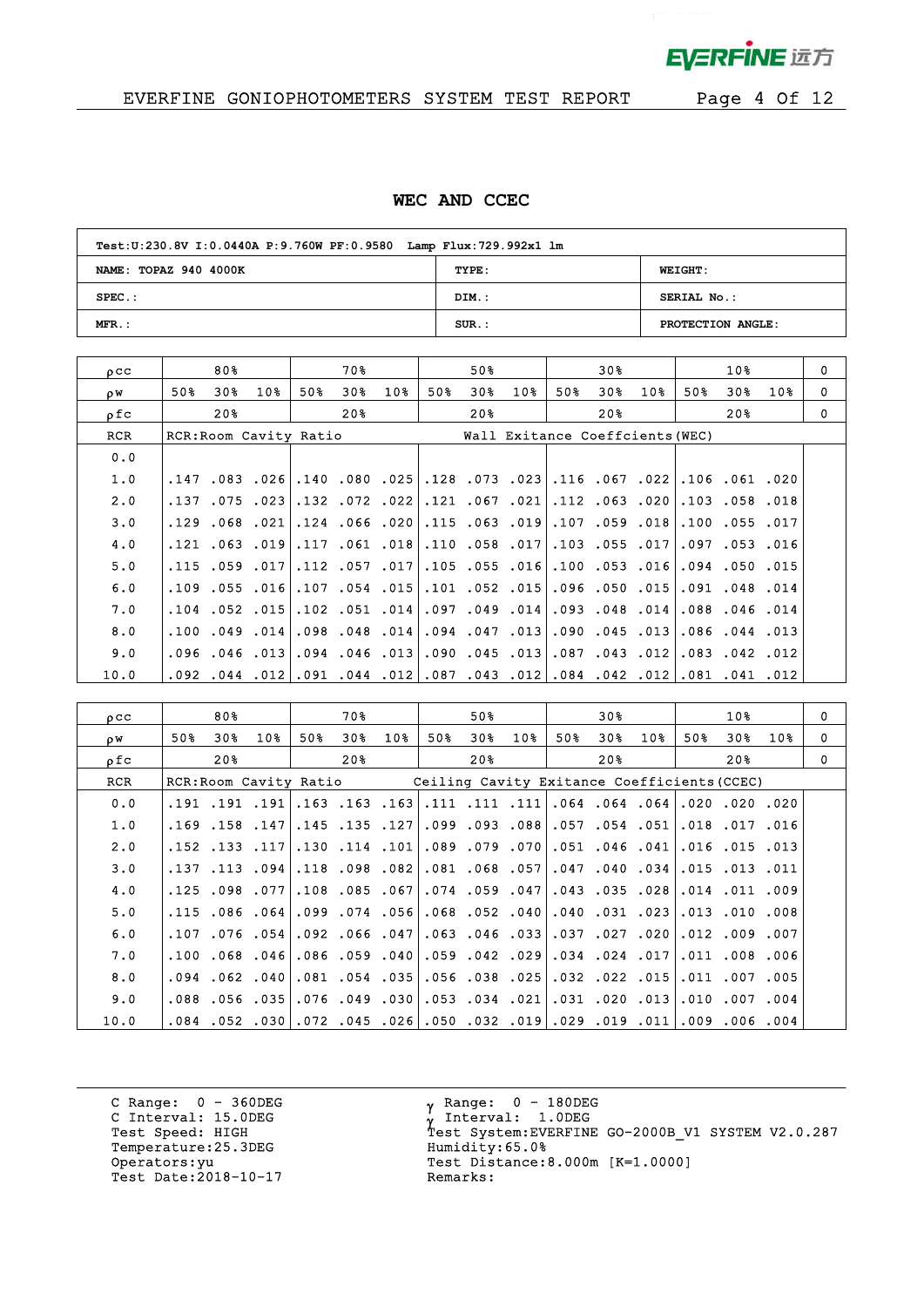

 $\bar{z}$ 

# EVERFINE GONIOPHOTOMETERS SYSTEM TEST REPORT Page 4 Of 12

#### **WEC AND CCEC**

| Test: U:230.8V I: 0.0440A P: 9.760W PF: 0.9580 Lamp Flux: 729.992x1 lm |          |                   |
|------------------------------------------------------------------------|----------|-------------------|
| NAME: TOPAZ 940 4000K                                                  | TYPE:    | <b>WEIGHT:</b>    |
| $SPEC.$ :                                                              | DIM.:    | SERIAL No.:       |
| $MFR.$ :                                                               | $SUR.$ : | PROTECTION ANGLE: |

| OCC  |     | 80% |                        |     | 70%                      |     |     | 50% |                 |                               | 30% |                                       |      | 10%                  |     | 0 |
|------|-----|-----|------------------------|-----|--------------------------|-----|-----|-----|-----------------|-------------------------------|-----|---------------------------------------|------|----------------------|-----|---|
| ρW   | 50% | 30% | 10%                    | 50% | 30%                      | 10% | 50% | 30% | 10 <sub>8</sub> | 50%                           | 30% | $10\%$                                | 50%  | 30%                  | 10% | 0 |
| ofc  |     | 20% |                        |     | 20%                      |     |     | 20% |                 |                               | 20% |                                       |      | 20%                  |     | 0 |
| RCR  |     |     | RCR: Room Cavity Ratio |     |                          |     |     |     |                 |                               |     | Wall Exitance Coeffcients (WEC)       |      |                      |     |   |
| 0.0  |     |     |                        |     |                          |     |     |     |                 |                               |     |                                       |      |                      |     |   |
| 1.0  |     |     |                        |     | .147.083.026.140.080.025 |     |     |     |                 |                               |     | .128.073.023.116.067.022.106.061.020  |      |                      |     |   |
| 2.0  |     |     | .137.075.023           |     | $.132$ $.072$ $.022$     |     |     |     |                 |                               |     | 020. 063. 112.  021 067. 121.         |      | .103.058.018         |     |   |
| 3.0  |     |     | $.129$ $.068$ $.021$   |     | $.124$ $.066$ $.020$     |     |     |     |                 |                               |     | ا 018. 059. 107. 019. 013. 115.       |      | $.100$ $.055$ $.017$ |     |   |
| 4.0  |     |     | .121 .063 .019         |     | .117 .061 .018           |     |     |     |                 |                               |     | .110.058.107.103.055.017.             | .097 | .053.016             |     |   |
| 5.0  |     |     | $.115$ $.059$ $.017$   |     | $.112$ $.057$ $.017$     |     |     |     |                 |                               |     | .105. 055. 100. 016. 055. 105.        |      | .094.050.015         |     |   |
| 6.0  |     |     | $.109$ $.055$ $.016$   |     | .107.054.015             |     |     |     |                 |                               |     | .101, 050, 005, 015, 050, 101,        |      | $.091$ $.048$ $.014$ |     |   |
| 7.0  |     |     | $.104$ $.052$ $.015$   |     | $.102$ $.051$ $.014$     |     |     |     |                 |                               |     | .097.049.014.093.048.014              |      | $.088$ $.046$ $.014$ |     |   |
| 8.0  |     |     | $.100$ $.049$ $.014$   |     | $.098$ $.048$ $.014$     |     |     |     |                 |                               |     | .094 .047 .013 .090 .045 .094         |      | $.086$ $.044$ $.013$ |     |   |
| 9.0  |     |     | $.096$ $.046$ $.013$   |     | $.094$ $.046$ $.013$     |     |     |     |                 | 012. 045. 013. 087. 043. 090. |     |                                       |      | $.083$ $.042$ $.012$ |     |   |
| 10.0 |     |     |                        |     | .092.044.012.091.044.012 |     |     |     |                 |                               |     | .081.041.084.042.012.081.081.081.043. |      |                      |     |   |

| $_{0}$ $_{\rm CC}$ |     | 80%                  |     |     | 70 %                                                                         |     |     | 50%          |     |     | 30% |                                                   |     | 10 <sub>8</sub>      |     | $\mathbf 0$ |
|--------------------|-----|----------------------|-----|-----|------------------------------------------------------------------------------|-----|-----|--------------|-----|-----|-----|---------------------------------------------------|-----|----------------------|-----|-------------|
| ρW                 | 50% | 30%                  | 10% | 50% | 30%                                                                          | 10% | 50% | 30%          | 10% | 50% | 30% | 10%                                               | 50% | 30%                  | 10% | $\Omega$    |
| ρfc                |     | 20 <sup>8</sup>      |     |     | 20%                                                                          |     |     | 20%          |     |     | 20% |                                                   |     | 20%                  |     | $\Omega$    |
| <b>RCR</b>         |     |                      |     |     | RCR: Room Cavity Ratio                                                       |     |     |              |     |     |     | Ceiling Cavity Exitance Coefficients (CCEC)       |     |                      |     |             |
| 0.0                |     | .191.191.191         |     |     | $.163$ $.163$ $.163$                                                         |     |     |              |     |     |     | .111. 111. 111. 064. 064. 064. 111. 111. 111.     |     |                      |     |             |
| 1.0                |     | $.169$ $.158$ $.147$ |     |     | $.145$ $.135$ $.127$                                                         |     |     |              |     |     |     | .099.093.088.057.054.051                          |     | .018.017.016         |     |             |
| 2.0                |     | .152.133.117         |     |     | .130.114.101                                                                 |     |     | .089.079.070 |     |     |     | $.051$ .046 .041                                  |     | $.016$ $.015$ $.013$ |     |             |
| 3.0                |     |                      |     |     | 082. 098. 118.  094. 113. 137.                                               |     |     |              |     |     |     | $.081$ .068 .057 .047 .040 .034 .015 .013 .011    |     |                      |     |             |
| 4.0                |     | $.125$ .098.077      |     |     | $.108$ $.085$ $.067$                                                         |     |     |              |     |     |     | .074.059.047.043.035.028                          |     | .014.011.009         |     |             |
| 5.0                |     |                      |     |     | .115 .086 .064 .099 .074 .056                                                |     |     |              |     |     |     | 008, 010, 010, 023, 031, 031, 008, 052, 068, 068, |     |                      |     |             |
| 6.0                |     | $.107$ .076 .054     |     |     | $.092$ $.066$ $.047$                                                         |     |     |              |     |     |     | .020. 027. 037. 037. 063. 046.                    |     | .012.009.007         |     |             |
| 7.0                |     |                      |     |     | .100.068.046.086.059.040                                                     |     |     |              |     |     |     | 006. 008. 017. 011. 024. 024. 017. 059. 059.      |     |                      |     |             |
| 8.0                |     | $.094$ $.062$ $.040$ |     |     | .081.054.035                                                                 |     |     |              |     |     |     | .056.038.025032.025.055.                          |     | $.011$ $.007$ $.005$ |     |             |
| 9.0                |     |                      |     |     | .088.056.035.076.049.030.                                                    |     |     |              |     |     |     | .053.034.021.031.020.013.010.007.004              |     |                      |     |             |
| 10.0               |     |                      |     |     | .001. 006. 000.  110. 019. 029. 019. 032. 050. 026. 045. 072. 030. 052. 054. |     |     |              |     |     |     |                                                   |     |                      |     |             |

C Range: 0 - 360DEG C Interval: 15.0DEG<br>Test Speed: HIGH Temperature:25.3DEG Humidity:65.0% Operators: yu<br>Test Date: 2018-10-17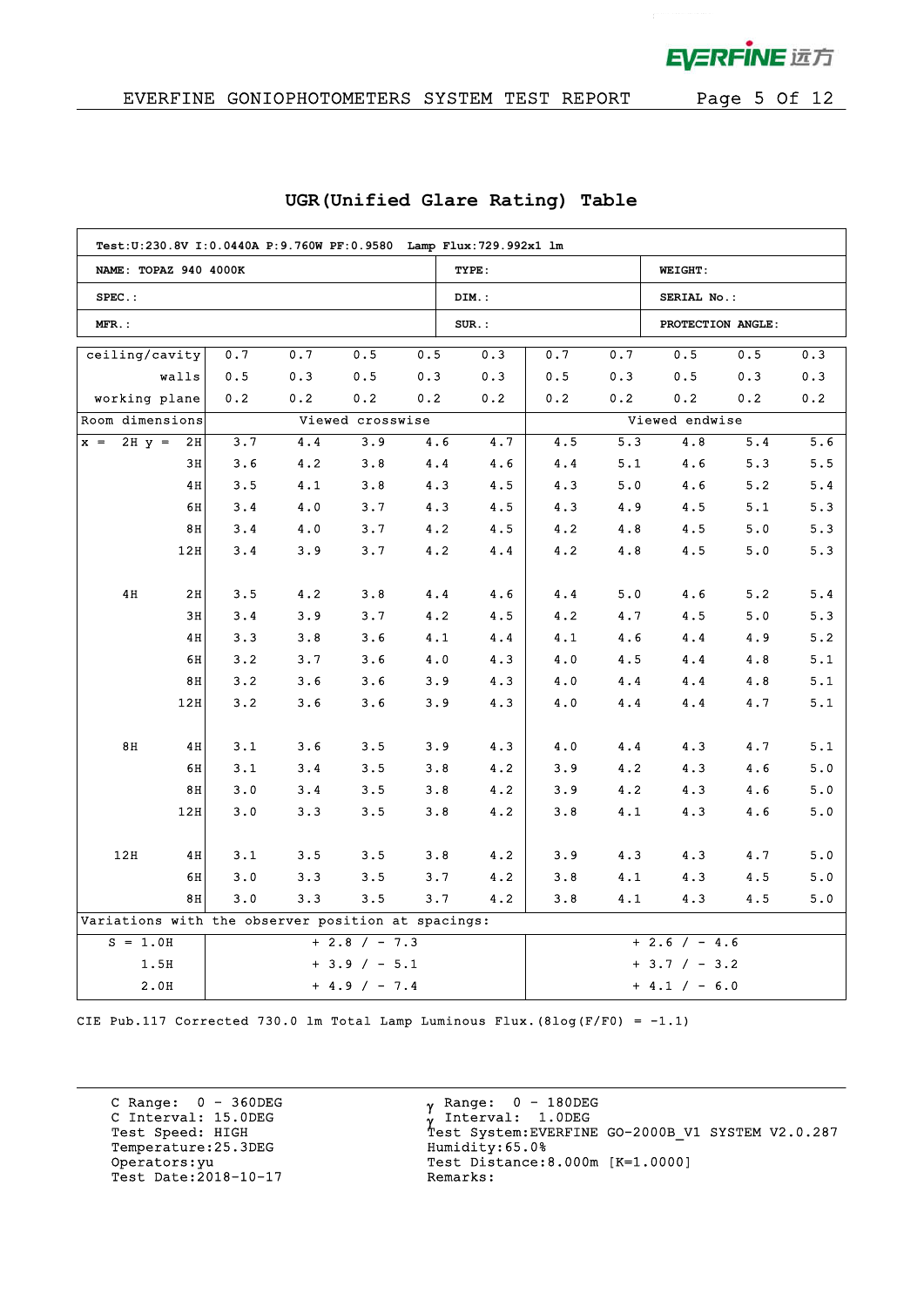**EVERFINE 远方** 

 $\bar{z}$ 

## EVERFINE GONIOPHOTOMETERS SYSTEM TEST REPORT Page 5 Of 12

| Test: U:230.8V I: 0.0440A P: 9.760W PF: 0.9580 Lamp Flux: 729.992x1 lm |       |     |     |                  |     |          |                 |                 |                   |     |     |
|------------------------------------------------------------------------|-------|-----|-----|------------------|-----|----------|-----------------|-----------------|-------------------|-----|-----|
| NAME: TOPAZ 940 4000K                                                  |       |     |     |                  |     | TYPE:    |                 |                 | <b>WEIGHT:</b>    |     |     |
| $SPEC.$ :                                                              |       |     |     |                  |     | DIM.:    |                 |                 | SERIAL No.:       |     |     |
| MFR.:                                                                  |       |     |     |                  |     | $SUR$ .: |                 |                 | PROTECTION ANGLE: |     |     |
| ceiling/cavity                                                         |       | 0.7 | 0.7 | 0.5              | 0.5 | 0.3      | 0.7             | 0.7             | 0.5               | 0.5 | 0.3 |
|                                                                        | walls | 0.5 | 0.3 | 0.5              | 0.3 | 0.3      | 0.5             | 0.3             | 0.5               | 0.3 | 0.3 |
| working plane                                                          |       | 0.2 | 0.2 | $0\,.\,2$        | 0.2 | 0.2      | 0.2             | $0.2\,$         | 0.2               | 0.2 | 0.2 |
| Room dimensions                                                        |       |     |     | Viewed crosswise |     |          |                 |                 | Viewed endwise    |     |     |
| $2H y =$<br>$x =$                                                      | 2H    | 3.7 | 4.4 | 3.9              | 4.6 | 4.7      | 4.5             | 5.3             | 4.8               | 5.4 | 5.6 |
|                                                                        | 3H    | 3.6 | 4.2 | 3.8              | 4.4 | 4.6      | 4.4             | 5.1             | 4.6               | 5.3 | 5.5 |
|                                                                        | 4H    | 3.5 | 4.1 | 3.8              | 4.3 | 4.5      | 4.3             | 5.0             | 4.6               | 5.2 | 5.4 |
|                                                                        | 6H    | 3.4 | 4.0 | 3.7              | 4.3 | 4.5      | 4.3             | 4.9             | 4.5               | 5.1 | 5.3 |
|                                                                        | 8H    | 3.4 | 4.0 | 3.7              | 4.2 | 4.5      | 4.2             | 4.8             | 4.5               | 5.0 | 5.3 |
|                                                                        | 12H   | 3.4 | 3.9 | 3.7              | 4.2 | 4.4      | 4.2             | 4.8             | 4.5               | 5.0 | 5.3 |
|                                                                        |       |     |     |                  |     |          |                 |                 |                   |     |     |
| 4H                                                                     | 2H    | 3.5 | 4.2 | 3.8              | 4.4 | 4.6      | 4.4             | 5.0             | 4.6               | 5.2 | 5.4 |
|                                                                        | 3H    | 3.4 | 3.9 | 3.7              | 4.2 | 4.5      | 4.2             | 4.7             | 4.5               | 5.0 | 5.3 |
|                                                                        | 4H    | 3.3 | 3.8 | 3.6              | 4.1 | 4.4      | 4.1             | 4.6             | 4.4               | 4.9 | 5.2 |
|                                                                        | 6H    | 3.2 | 3.7 | 3.6              | 4.0 | 4.3      | 4.0             | 4.5             | 4.4               | 4.8 | 5.1 |
|                                                                        | 8H    | 3.2 | 3.6 | 3.6              | 3.9 | 4.3      | 4.0             | 4.4             | 4.4               | 4.8 | 5.1 |
|                                                                        | 12H   | 3.2 | 3.6 | 3.6              | 3.9 | 4.3      | 4.0             | 4.4             | 4.4               | 4.7 | 5.1 |
|                                                                        |       |     |     |                  |     |          |                 |                 |                   |     |     |
| 8H                                                                     | 4H    | 3.1 | 3.6 | 3.5              | 3.9 | 4.3      | 4.0             | 4.4             | 4.3               | 4.7 | 5.1 |
|                                                                        | 6H    | 3.1 | 3.4 | 3.5              | 3.8 | 4.2      | 3.9             | 4.2             | 4.3               | 4.6 | 5.0 |
|                                                                        | 8H    | 3.0 | 3.4 | 3.5              | 3.8 | 4.2      | 3.9             | 4.2             | 4.3               | 4.6 | 5.0 |
|                                                                        | 12H   | 3.0 | 3.3 | 3.5              | 3.8 | 4.2      | 3.8             | 4.1             | 4.3               | 4.6 | 5.0 |
|                                                                        |       |     |     |                  |     |          |                 |                 |                   |     |     |
| 12H                                                                    | 4H    | 3.1 | 3.5 | 3.5              | 3.8 | 4.2      | 3.9             | 4.3             | 4.3               | 4.7 | 5.0 |
|                                                                        | 6H    | 3.0 | 3.3 | 3.5              | 3.7 | 4.2      | 3.8             | 4.1             | 4.3               | 4.5 | 5.0 |
|                                                                        | 8H    | 3.0 | 3.3 | 3.5              | 3.7 | 4.2      | 3.8             | 4.1             | 4.3               | 4.5 | 5.0 |
| Variations with the observer position at spacings:                     |       |     |     |                  |     |          |                 |                 |                   |     |     |
| $S = 1.0H$<br>$+ 2.8 / - 7.3$                                          |       |     |     |                  |     |          |                 | $+ 2.6 / - 4.6$ |                   |     |     |
| 1.5H<br>$+3.9 / -5.1$                                                  |       |     |     |                  |     |          | $+ 3.7 / - 3.2$ |                 |                   |     |     |
| 2.0H                                                                   |       |     |     | $+ 4.9 / - 7.4$  |     |          |                 |                 | $+ 4.1 / - 6.0$   |     |     |

### **UGR(Unified Glare Rating) Table**

CIE Pub.117 Corrected 730.0 lm Total Lamp Luminous Flux. (8log(F/F0) =  $-1.1$ )

C Range: 0 - 360DEG C Interval: 15.0DEG<br>Test Speed: HIGH Temperature:25.3DEG Humidity:65.0% nerators: yu<br>Test Date: 2018-10-17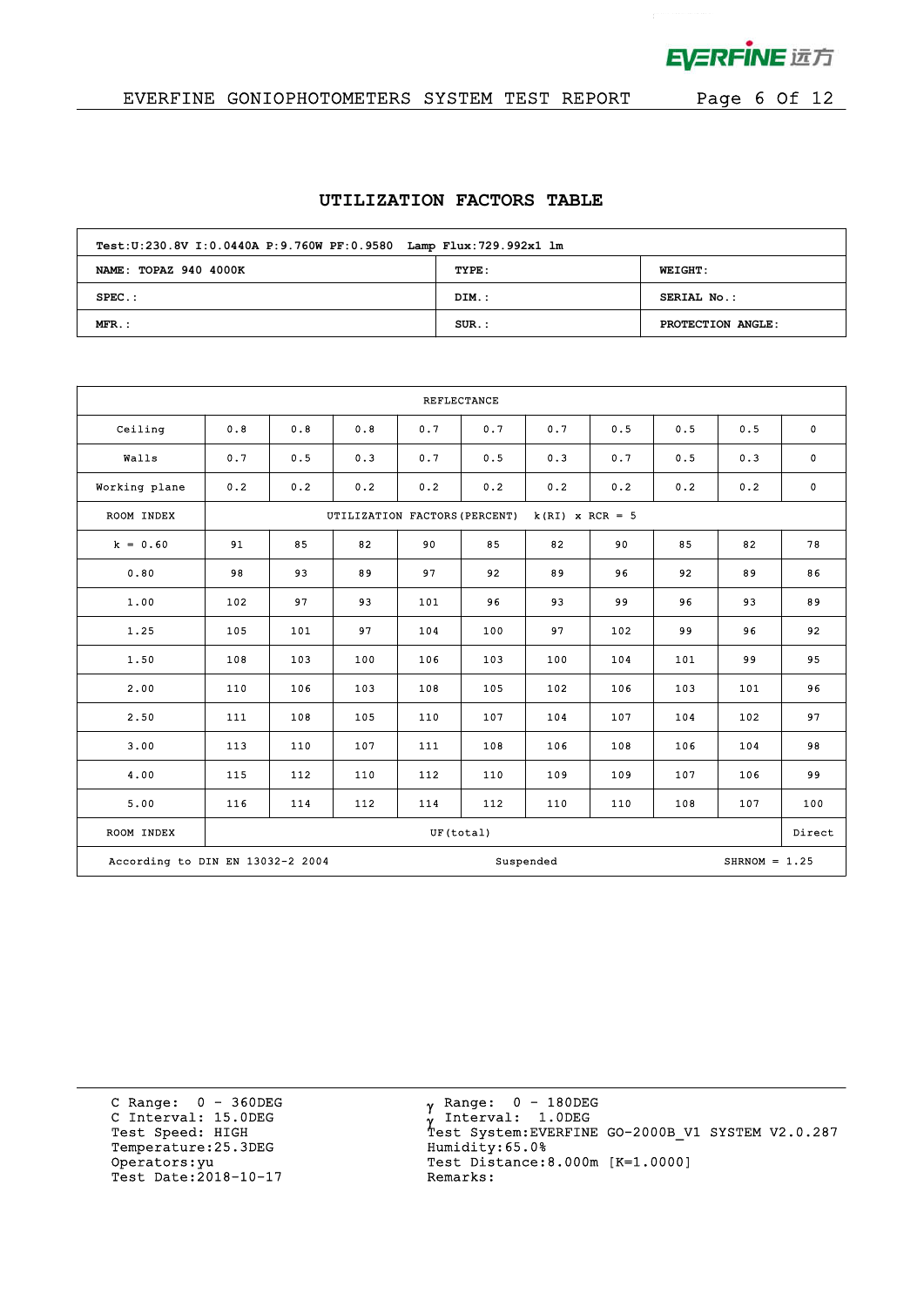

 $\bar{z}$ 

# EVERFINE GONIOPHOTOMETERS SYSTEM TEST REPORT Page 6 Of 12

#### **UTILIZATION FACTORS TABLE**

| Test: U:230.8V I: 0.0440A P: 9.760W PF: 0.9580 Lamp Flux: 729.992x1 lm |          |                   |  |  |  |  |  |  |  |
|------------------------------------------------------------------------|----------|-------------------|--|--|--|--|--|--|--|
| NAME: TOPAZ 940 4000K                                                  | TYPE:    | <b>WEIGHT:</b>    |  |  |  |  |  |  |  |
| $SPEC.$ :                                                              | DIM.:    | SERIAL No.:       |  |  |  |  |  |  |  |
| $MFR.$ :                                                               | $SUR$ .: | PROTECTION ANGLE: |  |  |  |  |  |  |  |

| <b>REFLECTANCE</b>               |     |                                                    |     |           |     |           |     |     |                 |             |
|----------------------------------|-----|----------------------------------------------------|-----|-----------|-----|-----------|-----|-----|-----------------|-------------|
| Ceiling                          | 0.8 | 0.8                                                | 0.8 | 0.7       | 0.7 | 0.7       | 0.5 | 0.5 | 0.5             | $\mathbf 0$ |
| Walls                            | 0.7 | 0.5                                                | 0.3 | 0.7       | 0.5 | 0.3       | 0.7 | 0.5 | 0.3             | $\mathbf 0$ |
| Working plane                    | 0.2 | 0.2                                                | 0.2 | 0.2       | 0.2 | 0.2       | 0.2 | 0.2 | 0.2             | $\mathbf 0$ |
| ROOM INDEX                       |     | UTILIZATION FACTORS (PERCENT)<br>$k(RI)$ x RCR = 5 |     |           |     |           |     |     |                 |             |
| $k = 0.60$                       | 91  | 85                                                 | 82  | 90        | 85  | 82        | 90  | 85  | 82              | 78          |
| 0.80                             | 98  | 93                                                 | 89  | 97        | 92  | 89        | 96  | 92  | 89              | 86          |
| 1.00                             | 102 | 97                                                 | 93  | 101       | 96  | 93        | 99  | 96  | 93              | 89          |
| 1.25                             | 105 | 101                                                | 97  | 104       | 100 | 97        | 102 | 99  | 96              | 92          |
| 1.50                             | 108 | 103                                                | 100 | 106       | 103 | 100       | 104 | 101 | 99              | 95          |
| 2.00                             | 110 | 106                                                | 103 | 108       | 105 | 102       | 106 | 103 | 101             | 96          |
| 2.50                             | 111 | 108                                                | 105 | 110       | 107 | 104       | 107 | 104 | 102             | 97          |
| 3.00                             | 113 | 110                                                | 107 | 111       | 108 | 106       | 108 | 106 | 104             | 98          |
| 4.00                             | 115 | 112                                                | 110 | 112       | 110 | 109       | 109 | 107 | 106             | 99          |
| 5.00                             | 116 | 114                                                | 112 | 114       | 112 | 110       | 110 | 108 | 107             | 100         |
| ROOM INDEX                       |     |                                                    |     | UF(total) |     |           |     |     |                 | Direct      |
| According to DIN EN 13032-2 2004 |     |                                                    |     |           |     | Suspended |     |     | $SHRNOM = 1.25$ |             |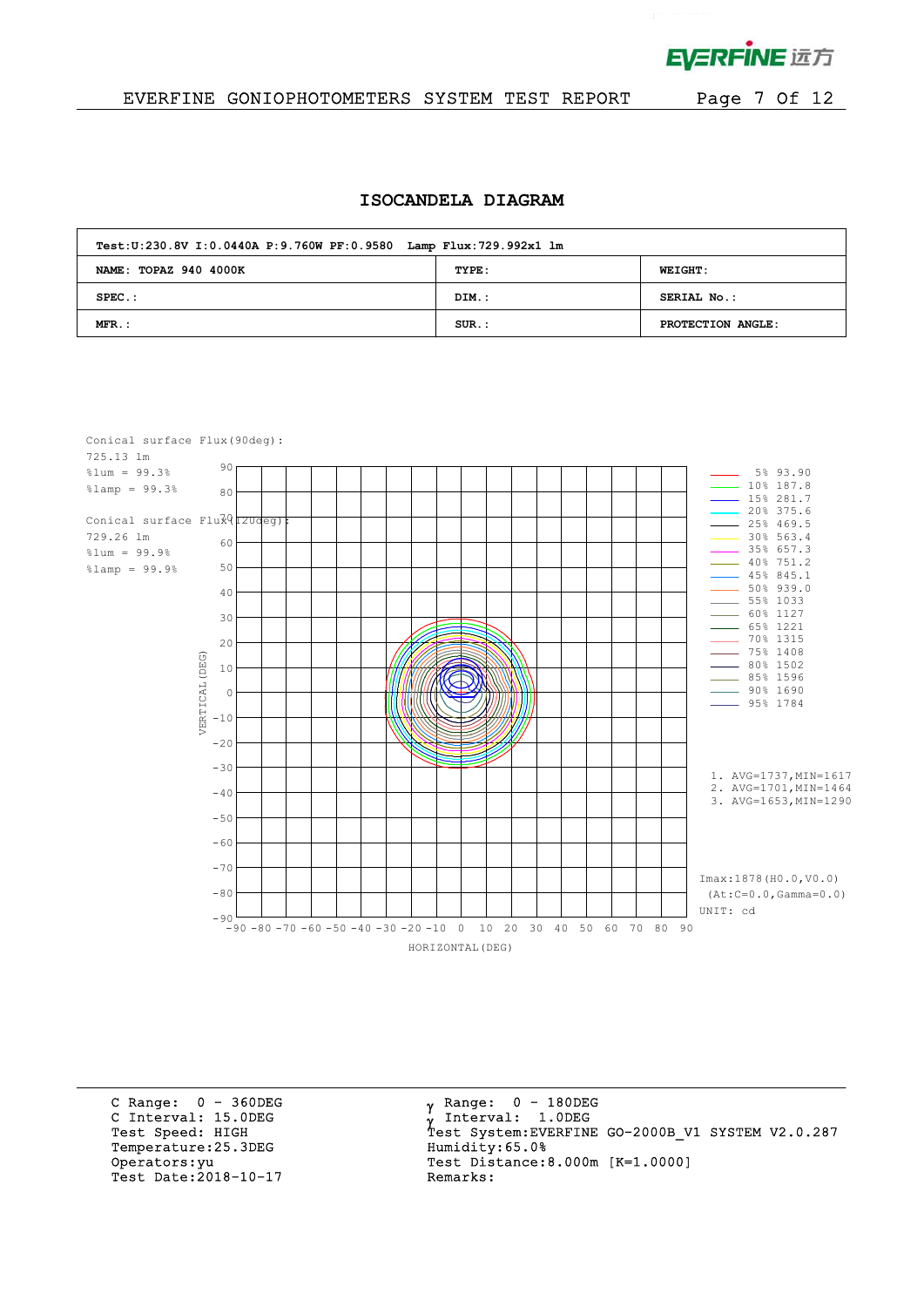

 $\mathcal{L}^{\text{max}}$ 

### EVERFINE GONIOPHOTOMETERS SYSTEM TEST REPORT Page 7 Of 12

#### **ISOCANDELA DIAGRAM**

| Test: U:230.8V I: 0.0440A P: 9.760W PF: 0.9580 Lamp Flux: 729.992x1 lm |       |                   |  |  |  |  |  |  |
|------------------------------------------------------------------------|-------|-------------------|--|--|--|--|--|--|
| NAME: TOPAZ 940 4000K                                                  | TYPE: | <b>WEIGHT:</b>    |  |  |  |  |  |  |
| $SPEC.$ :                                                              | DIM.: | SERIAL No.:       |  |  |  |  |  |  |
| $MFR$ .:                                                               | SUR.: | PROTECTION ANGLE: |  |  |  |  |  |  |



C Range: 0 - 360DEG C Interval: 15.0DEG<br>Test Speed: HIGH Temperature: 25.3DEG Humidity: 65.0% Test Date: $2018-10-17$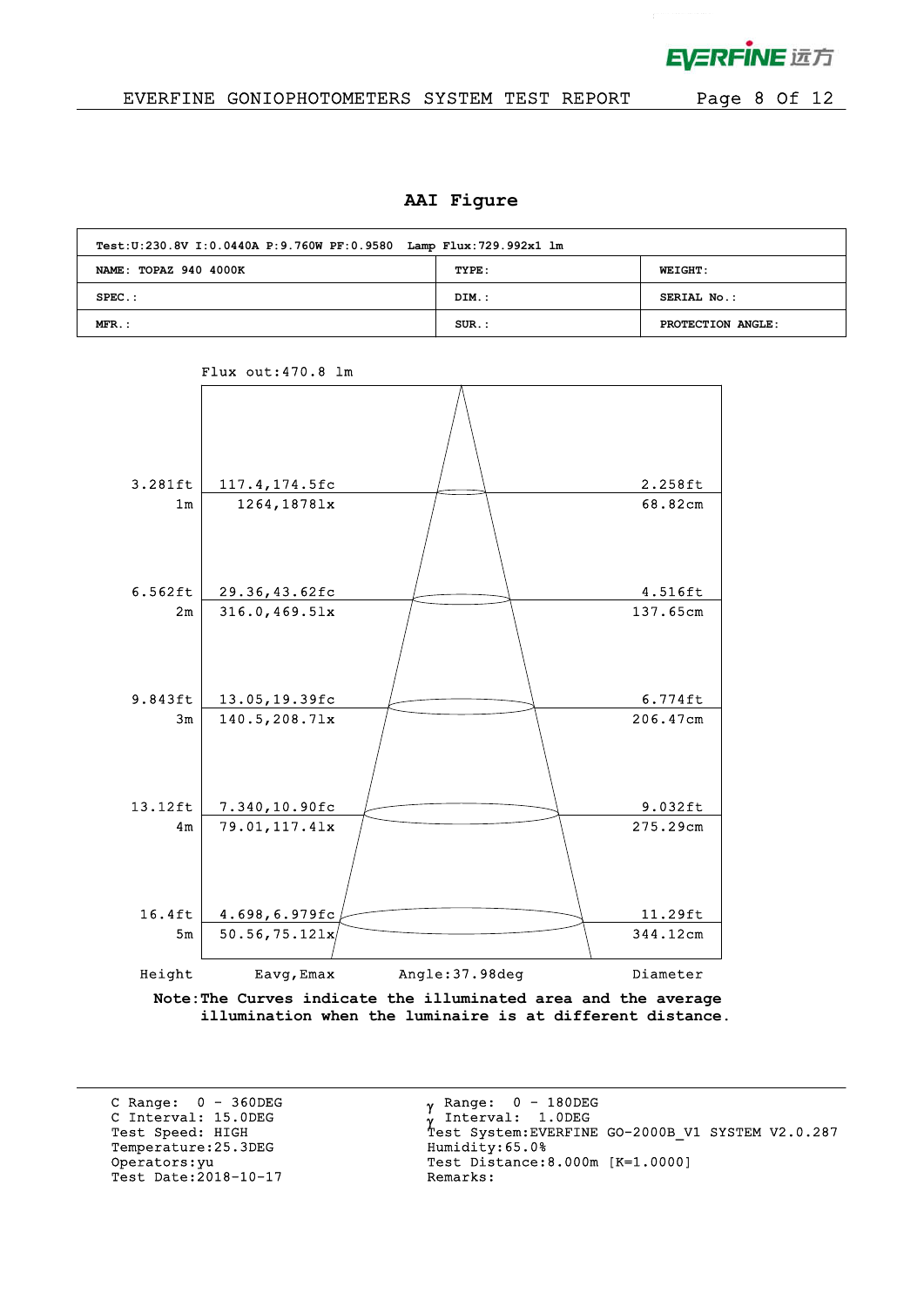

### EVERFINE GONIOPHOTOMETERS SYSTEM TEST REPORT Page 8 Of 12

#### **AAI Figure**

| Test: U:230.8V I: 0.0440A P: 9.760W PF: 0.9580 Lamp Flux: 729.992x1 lm |          |                   |  |  |  |  |  |  |  |
|------------------------------------------------------------------------|----------|-------------------|--|--|--|--|--|--|--|
| NAME: TOPAZ 940 4000K                                                  | TYPE:    | <b>WEIGHT:</b>    |  |  |  |  |  |  |  |
| $SPEC.$ :                                                              | DIM.:    | SERIAL No.:       |  |  |  |  |  |  |  |
| $MFR.$ :                                                               | $SUR.$ : | PROTECTION ANGLE: |  |  |  |  |  |  |  |



Flux out:470.8 lm

**Note:The Curves indicate the illuminated area and the average illumination when the luminaire is at different distance.**

C Range: 0 - 360DEG C Interval: 15.0DEG<br>Test Speed: HIGH Temperature: 25.3DEG Test Date: $2018-10-17$ 

 $\gamma$  Range:  $0 - 180$ DEG Interval: 1.0DEG Y INCEIVAL: 1.0DEG<br>Test System:EVERFINE GO-2000B\_V1 SYSTEM V2.0.287<br>Humidity:65.0% Operators: yu Test Distance: 8.000m [K=1.0000]<br>Test Date: 2018-10-17 Remarks: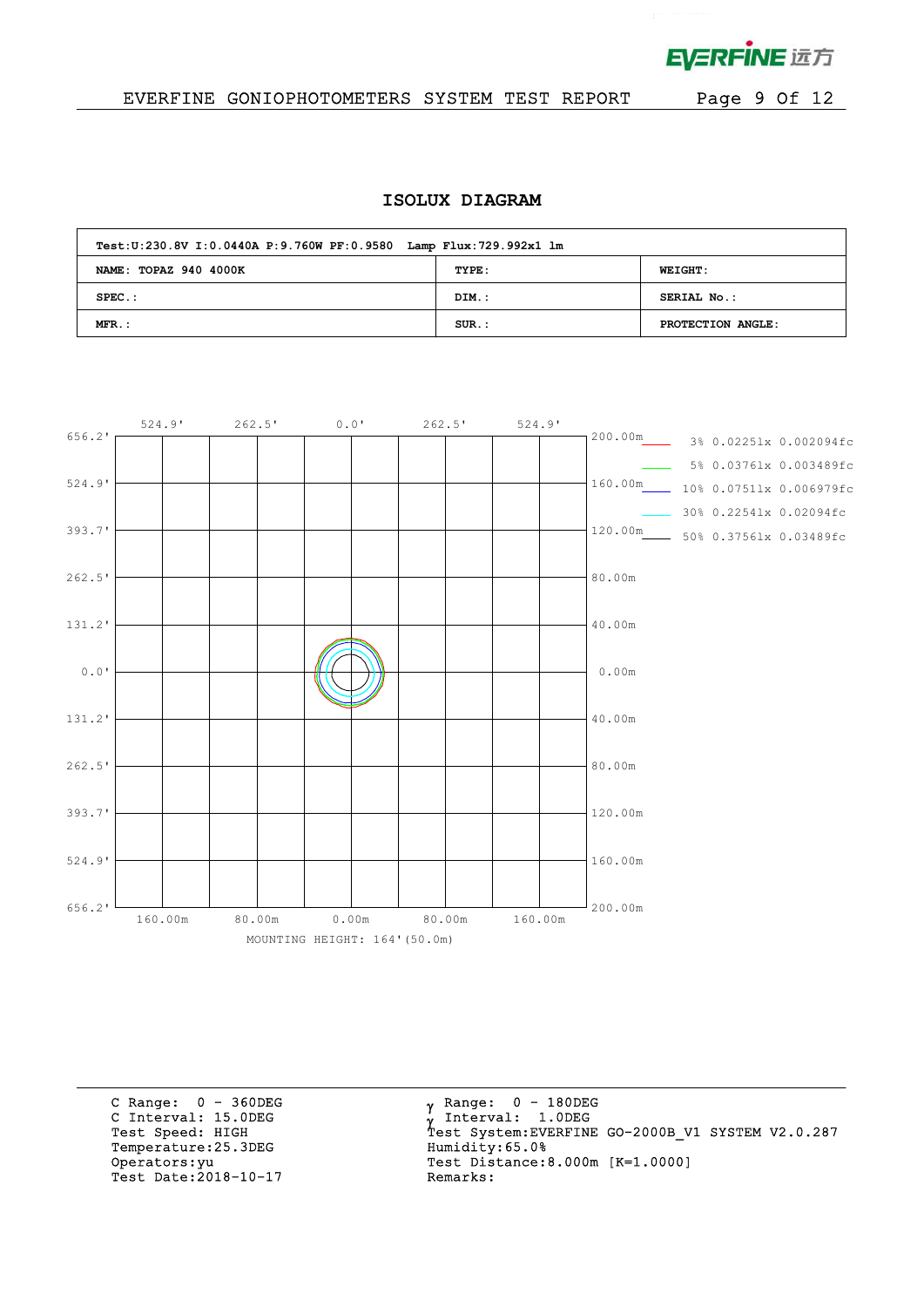

 $\mathcal{L}^{\text{max}}$ 

## EVERFINE GONIOPHOTOMETERS SYSTEM TEST REPORT Page 9 Of 12

#### **ISOLUX DIAGRAM**

| Test: U:230.8V I: 0.0440A P: 9.760W PF: 0.9580 Lamp Flux: 729.992x1 lm |          |                   |  |  |  |  |  |  |  |  |  |
|------------------------------------------------------------------------|----------|-------------------|--|--|--|--|--|--|--|--|--|
| NAME: TOPAZ 940 4000K                                                  | TYPE:    | <b>WEIGHT:</b>    |  |  |  |  |  |  |  |  |  |
| $SPEC.$ :                                                              | DIM.:    | SERIAL No.:       |  |  |  |  |  |  |  |  |  |
| $MFR$ .:                                                               | $SUR$ .: | PROTECTION ANGLE: |  |  |  |  |  |  |  |  |  |



C Range: 0 - 360DEG C Interval: 15.0DEG<br>Test Speed: HIGH Temperature: 25.3DEG Humidity: 65.0% nerators: yu<br>Test Date: 2018-10-17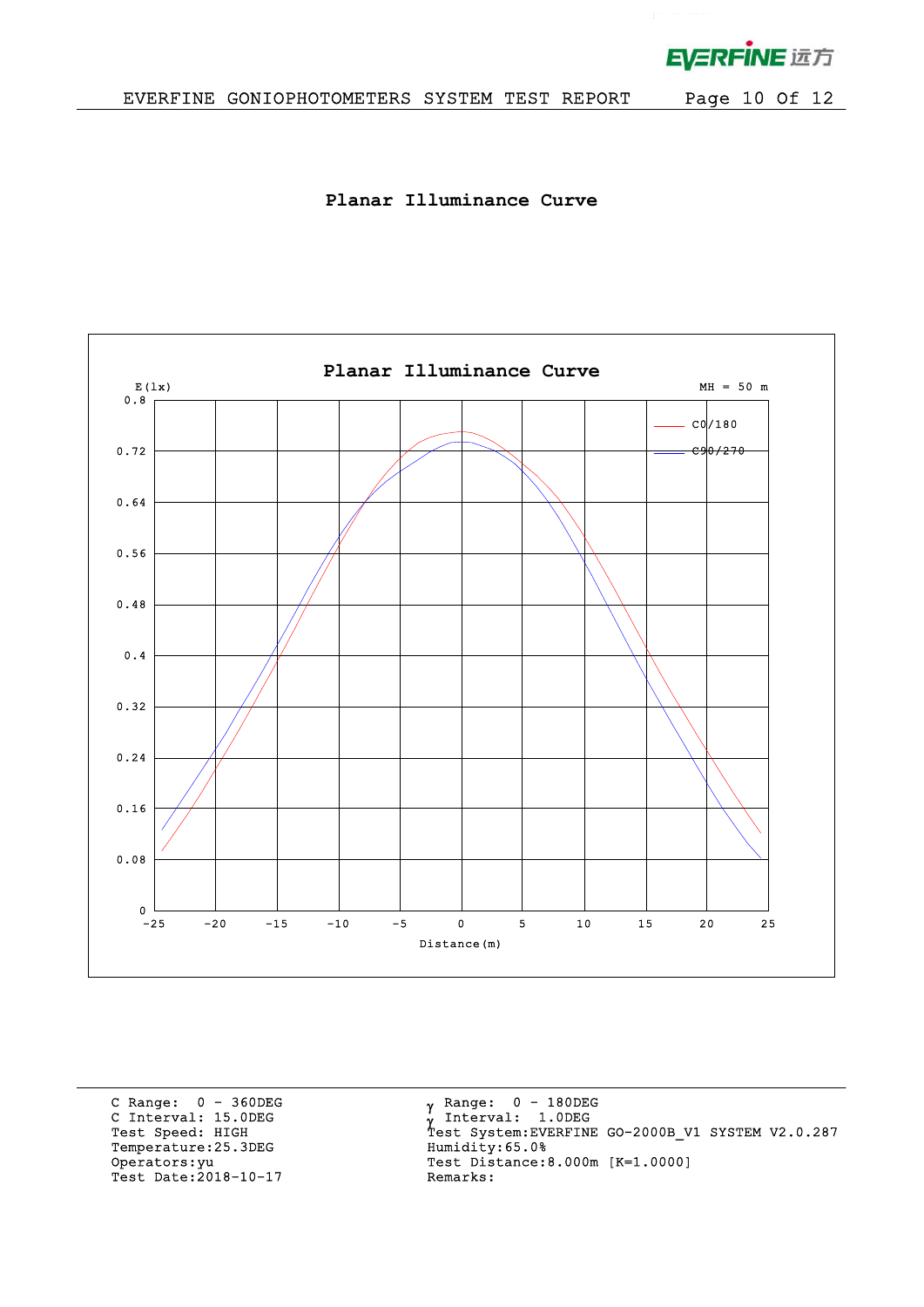

 $\mathbf{r}^{(1)}$  .

**Planar Illuminance Curve**



C Range: 0 - 360DEG C Interval: 15.0DEG<br>Test Speed: HIGH Temperature: 25.3DEG Humidity: 65.0% Operators: yu<br>Test Date: 2018-10-17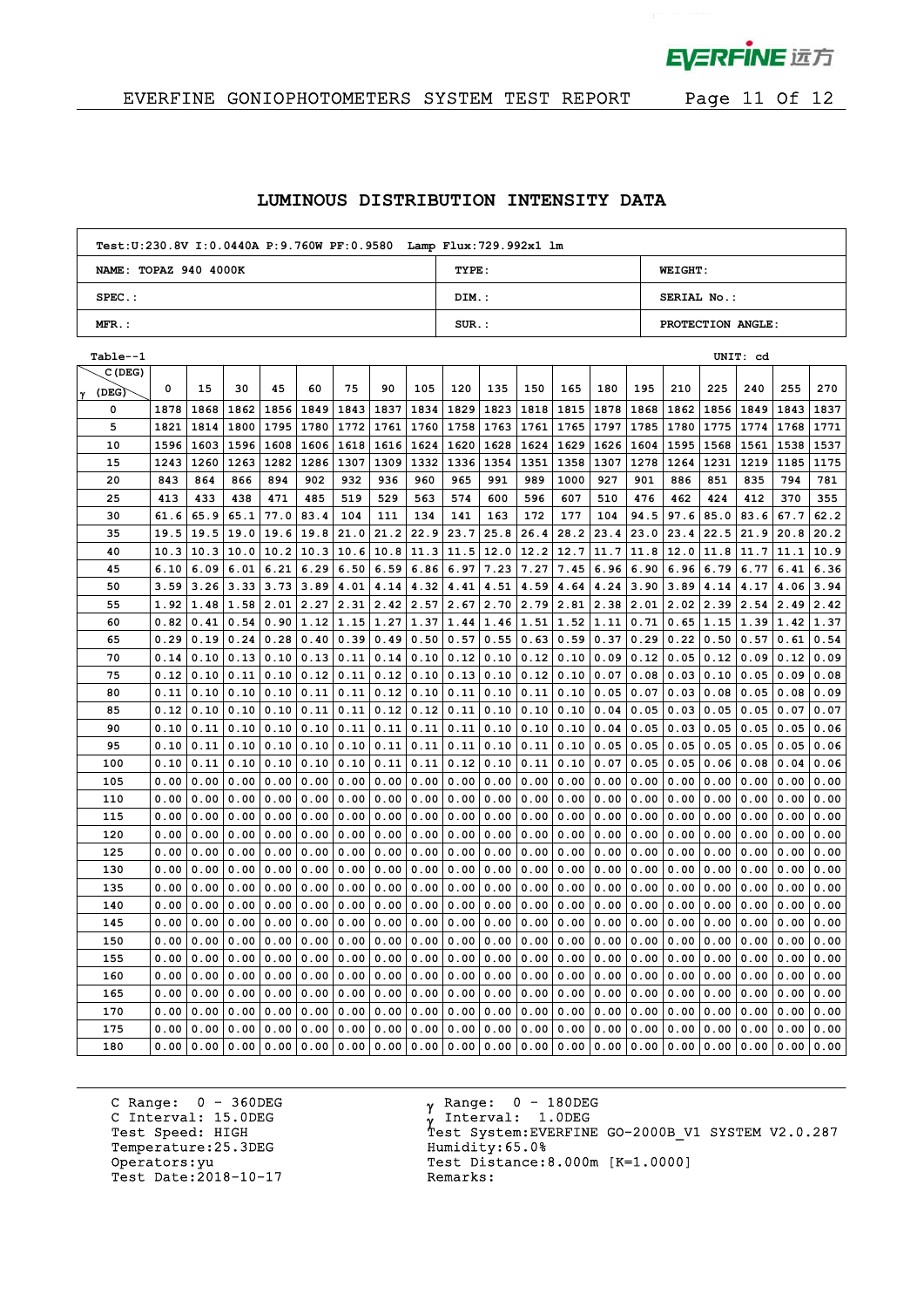

 $\mathbf{p}^{\mathrm{max}}$ 

# EVERFINE GONIOPHOTOMETERS SYSTEM TEST REPORT Page 11 Of 12

### **LUMINOUS DISTRIBUTION INTENSITY DATA**

| Test: U:230.8V I: 0.0440A P: 9.760W PF: 0.9580 Lamp Flux: 729.992x1 lm |          |                   |
|------------------------------------------------------------------------|----------|-------------------|
| NAME: TOPAZ 940 4000K                                                  | TYPE:    | <b>WEIGHT:</b>    |
| $SPEC.$ :                                                              | DIM.:    | SERIAL No.:       |
| $MFR$ .:                                                               | $SUR$ .: | PROTECTION ANGLE: |

| Table--1   |      |      |      |      |                            |      |      |                  |      |      |      |      |      |      |      |      | UNIT: cd |                  |      |
|------------|------|------|------|------|----------------------------|------|------|------------------|------|------|------|------|------|------|------|------|----------|------------------|------|
| C(DEG)     |      |      |      |      |                            |      |      |                  |      |      |      |      |      |      |      |      |          |                  |      |
| (DEG)<br>γ | 0    | 15   | 30   | 45   | 60                         | 75   | 90   | 105              | 120  | 135  | 150  | 165  | 180  | 195  | 210  | 225  | 240      | 255              | 270  |
| 0          | 1878 | 1868 | 1862 | 1856 | 1849                       | 1843 | 1837 | 1834             | 1829 | 1823 | 1818 | 1815 | 1878 | 1868 | 1862 | 1856 | 1849     | 1843             | 1837 |
| 5          | 1821 | 1814 | 1800 | 1795 | 1780                       | 1772 | 1761 | 1760             | 1758 | 1763 | 1761 | 1765 | 1797 | 1785 | 1780 | 1775 | 1774     | 1768             | 1771 |
| 10         | 1596 | 1603 | 1596 | 1608 | 1606                       | 1618 | 1616 | 1624             | 1620 | 1628 | 1624 | 1629 | 1626 | 1604 | 1595 | 1568 | 1561     | 1538             | 1537 |
| 15         | 1243 | 1260 | 1263 | 1282 | 1286                       | 1307 | 1309 | 1332             | 1336 | 1354 | 1351 | 1358 | 1307 | 1278 | 1264 | 1231 | 1219     | 1185             | 1175 |
| 20         | 843  | 864  | 866  | 894  | 902                        | 932  | 936  | 960              | 965  | 991  | 989  | 1000 | 927  | 901  | 886  | 851  | 835      | 794              | 781  |
| 25         | 413  | 433  | 438  | 471  | 485                        | 519  | 529  | 563              | 574  | 600  | 596  | 607  | 510  | 476  | 462  | 424  | 412      | 370              | 355  |
| 30         | 61.6 | 65.9 | 65.1 | 77.0 | 83.4                       | 104  | 111  | 134              | 141  | 163  | 172  | 177  | 104  | 94.5 | 97.6 | 85.0 | 83.6     | 67.7             | 62.2 |
| 35         | 19.5 | 19.5 | 19.0 | 19.6 | 19.8                       | 21.0 | 21.2 | 22.9             | 23.7 | 25.8 | 26.4 | 28.2 | 23.4 | 23.0 | 23.4 | 22.5 | 21.9     | 20.8             | 20.2 |
| 40         | 10.3 | 10.3 | 10.0 | 10.2 | 10.3                       | 10.6 | 10.8 | 11.3             | 11.5 | 12.0 | 12.2 | 12.7 | 11.7 | 11.8 | 12.0 | 11.8 | 11.7     | 11.1             | 10.9 |
| 45         | 6.10 | 6.09 | 6.01 | 6.21 | 6.29                       | 6.50 | 6.59 | 6.86             | 6.97 | 7.23 | 7.27 | 7.45 | 6.96 | 6.90 | 6.96 | 6.79 | 6.77     | 6.41             | 6.36 |
| 50         | 3.59 | 3.26 | 3.33 |      | $3.73$ 3.89                | 4.01 | 4.14 | 4.32             | 4.41 | 4.51 | 4.59 | 4.64 | 4.24 | 3.90 | 3.89 | 4.14 | 4.17     | 4.06             | 3.94 |
| 55         | 1.92 | 1.48 | 1.58 | 2.01 | 2.27                       | 2.31 | 2.42 | 2.57             | 2.67 | 2.70 | 2.79 | 2.81 | 2.38 | 2.01 | 2.02 | 2.39 | 2.54     | 2.49             | 2.42 |
| 60         | 0.82 | 0.41 | 0.54 |      | $0.90 \mid 1.12 \mid 1.15$ |      |      | $1.27 \mid 1.37$ | 1.44 | 1.46 | 1.51 | 1.52 | 1.11 | 0.71 | 0.65 | 1.15 | 1.39     | $1.42 \mid 1.37$ |      |
| 65         | 0.29 | 0.19 | 0.24 | 0.28 | 0.40                       | 0.39 | 0.49 | 0.50             | 0.57 | 0.55 | 0.63 | 0.59 | 0.37 | 0.29 | 0.22 | 0.50 | 0.57     | 0.61             | 0.54 |
| 70         | 0.14 | 0.10 | 0.13 | 0.10 | 0.13                       | 0.11 | 0.14 | 0.10             | 0.12 | 0.10 | 0.12 | 0.10 | 0.09 | 0.12 | 0.05 | 0.12 | 0.09     | 0.12             | 0.09 |
| 75         | 0.12 | 0.10 | 0.11 | 0.10 | 0.12                       | 0.11 | 0.12 | 0.10             | 0.13 | 0.10 | 0.12 | 0.10 | 0.07 | 0.08 | 0.03 | 0.10 | 0.05     | 0.09             | 0.08 |
| 80         | 0.11 | 0.10 | 0.10 | 0.10 | 0.11                       | 0.11 | 0.12 | 0.10             | 0.11 | 0.10 | 0.11 | 0.10 | 0.05 | 0.07 | 0.03 | 0.08 | 0.05     | 0.08             | 0.09 |
| 85         | 0.12 | 0.10 | 0.10 | 0.10 | 0.11                       | 0.11 | 0.12 | 0.12             | 0.11 | 0.10 | 0.10 | 0.10 | 0.04 | 0.05 | 0.03 | 0.05 | 0.05     | 0.07             | 0.07 |
| 90         | 0.10 | 0.11 | 0.10 | 0.10 | 0.10                       | 0.11 | 0.11 | 0.11             | 0.11 | 0.10 | 0.10 | 0.10 | 0.04 | 0.05 | 0.03 | 0.05 | 0.05     | 0.05             | 0.06 |
| 95         | 0.10 | 0.11 | 0.10 |      | 0.10 0.10                  | 0.10 | 0.11 | 0.11             | 0.11 | 0.10 | 0.11 | 0.10 | 0.05 | 0.05 | 0.05 | 0.05 | 0.05     | 0.05             | 0.06 |
| 100        | 0.10 | 0.11 | 0.10 | 0.10 | 0.10                       | 0.10 | 0.11 | 0.11             | 0.12 | 0.10 | 0.11 | 0.10 | 0.07 | 0.05 | 0.05 | 0.06 | 0.08     | 0.04             | 0.06 |
| 105        | 0.00 | 0.00 | 0.00 | 0.00 | 0.00                       | 0.00 | 0.00 | 0.00             | 0.00 | 0.00 | 0.00 | 0.00 | 0.00 | 0.00 | 0.00 | 0.00 | 0.00     | 0.00             | 0.00 |
| 110        | 0.00 | 0.00 | 0.00 | 0.00 | 0.00                       | 0.00 | 0.00 | 0.00             | 0.00 | 0.00 | 0.00 | 0.00 | 0.00 | 0.00 | 0.00 | 0.00 | 0.00     | 0.00             | 0.00 |
| 115        | 0.00 | 0.00 | 0.00 | 0.00 | 0.00                       | 0.00 | 0.00 | 0.00             | 0.00 | 0.00 | 0.00 | 0.00 | 0.00 | 0.00 | 0.00 | 0.00 | 0.00     | 0.00             | 0.00 |
| 120        | 0.00 | 0.00 | 0.00 | 0.00 | 0.00                       | 0.00 | 0.00 | 0.00             | 0.00 | 0.00 | 0.00 | 0.00 | 0.00 | 0.00 | 0.00 | 0.00 | 0.00     | 0.00             | 0.00 |
| 125        | 0.00 | 0.00 | 0.00 | 0.00 | 0.00                       | 0.00 | 0.00 | 0.00             | 0.00 | 0.00 | 0.00 | 0.00 | 0.00 | 0.00 | 0.00 | 0.00 | 0.00     | 0.00             | 0.00 |
| 130        | 0.00 | 0.00 | 0.00 | 0.00 | 0.00                       | 0.00 | 0.00 | 0.00             | 0.00 | 0.00 | 0.00 | 0.00 | 0.00 | 0.00 | 0.00 | 0.00 | 0.00     | 0.00             | 0.00 |
| 135        | 0.00 | 0.00 | 0.00 | 0.00 | 0.00                       | 0.00 | 0.00 | 0.00             | 0.00 | 0.00 | 0.00 | 0.00 | 0.00 | 0.00 | 0.00 | 0.00 | 0.00     | 0.00             | 0.00 |
| 140        | 0.00 | 0.00 | 0.00 | 0.00 | 0.00                       | 0.00 | 0.00 | 0.00             | 0.00 | 0.00 | 0.00 | 0.00 | 0.00 | 0.00 | 0.00 | 0.00 | 0.00     | 0.00             | 0.00 |
| 145        | 0.00 | 0.00 | 0.00 | 0.00 | 0.00                       | 0.00 | 0.00 | 0.00             | 0.00 | 0.00 | 0.00 | 0.00 | 0.00 | 0.00 | 0.00 | 0.00 | 0.00     | 0.00             | 0.00 |
| 150        | 0.00 | 0.00 | 0.00 | 0.00 | 0.00                       | 0.00 | 0.00 | 0.00             | 0.00 | 0.00 | 0.00 | 0.00 | 0.00 | 0.00 | 0.00 | 0.00 | 0.00     | 0.00             | 0.00 |
| 155        | 0.00 | 0.00 | 0.00 | 0.00 | 0.00                       | 0.00 | 0.00 | 0.00             | 0.00 | 0.00 | 0.00 | 0.00 | 0.00 | 0.00 | 0.00 | 0.00 | 0.00     | 0.00             | 0.00 |
| 160        | 0.00 | 0.00 | 0.00 | 0.00 | 0.00                       | 0.00 | 0.00 | 0.00             | 0.00 | 0.00 | 0.00 | 0.00 | 0.00 | 0.00 | 0.00 | 0.00 | 0.00     | 0.00             | 0.00 |
| 165        | 0.00 | 0.00 | 0.00 | 0.00 | 0.00                       | 0.00 | 0.00 | 0.00             | 0.00 | 0.00 | 0.00 | 0.00 | 0.00 | 0.00 | 0.00 | 0.00 | 0.00     | 0.00             | 0.00 |
| 170        | 0.00 | 0.00 | 0.00 | 0.00 | 0.00                       | 0.00 | 0.00 | 0.00             | 0.00 | 0.00 | 0.00 | 0.00 | 0.00 | 0.00 | 0.00 | 0.00 | 0.00     | 0.00             | 0.00 |
| 175        | 0.00 | 0.00 | 0.00 | 0.00 | 0.00                       | 0.00 | 0.00 | 0.00             | 0.00 | 0.00 | 0.00 | 0.00 | 0.00 | 0.00 | 0.00 | 0.00 | 0.00     | 0.00             | 0.00 |
| 180        | 0.00 | 0.00 | 0.00 | 0.00 | 0.00                       | 0.00 | 0.00 | 0.00             | 0.00 | 0.00 | 0.00 | 0.00 | 0.00 | 0.00 | 0.00 | 0.00 | 0.00     | 0.00             | 0.00 |

C Range: 0 - 360DEG C Interval: 15.0DEG<br>Test Speed: HIGH Temperature: 25.3DEG Humidity: 65.0% Operators: yu<br>Test Date: 2018-10-17